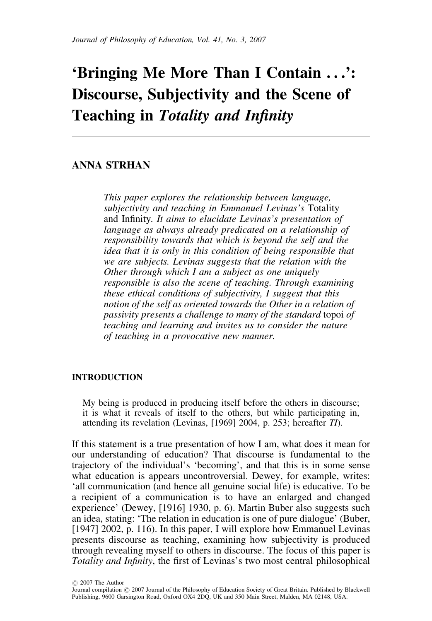# 'Bringing Me More Than I Contain . . .': Discourse, Subjectivity and the Scene of Teaching in Totality and Infinity

# ANNA STRHAN

This paper explores the relationship between language, subjectivity and teaching in Emmanuel Levinas's Totality and Infinity. It aims to elucidate Levinas's presentation of language as always already predicated on a relationship of responsibility towards that which is beyond the self and the idea that it is only in this condition of being responsible that we are subjects. Levinas suggests that the relation with the Other through which I am a subject as one uniquely responsible is also the scene of teaching. Through examining these ethical conditions of subjectivity, I suggest that this notion of the self as oriented towards the Other in a relation of passivity presents a challenge to many of the standard topoi of teaching and learning and invites us to consider the nature of teaching in a provocative new manner.

#### **INTRODUCTION**

My being is produced in producing itself before the others in discourse; it is what it reveals of itself to the others, but while participating in, attending its revelation (Levinas, [1969] 2004, p. 253; hereafter TI).

If this statement is a true presentation of how I am, what does it mean for our understanding of education? That discourse is fundamental to the trajectory of the individual's 'becoming', and that this is in some sense what education is appears uncontroversial. Dewey, for example, writes: 'all communication (and hence all genuine social life) is educative. To be a recipient of a communication is to have an enlarged and changed experience' (Dewey, [1916] 1930, p. 6). Martin Buber also suggests such an idea, stating: 'The relation in education is one of pure dialogue' (Buber, [1947] 2002, p. 116). In this paper, I will explore how Emmanuel Levinas presents discourse as teaching, examining how subjectivity is produced through revealing myself to others in discourse. The focus of this paper is Totality and Infinity, the first of Levinas's two most central philosophical

 $\odot$  2007 The Author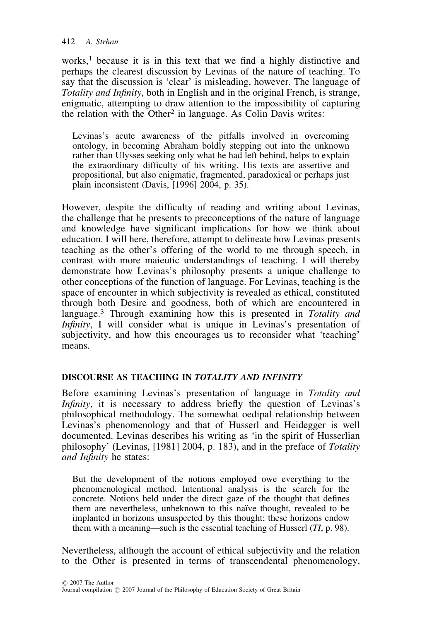works,<sup>1</sup> because it is in this text that we find a highly distinctive and perhaps the clearest discussion by Levinas of the nature of teaching. To say that the discussion is 'clear' is misleading, however. The language of Totality and Infinity, both in English and in the original French, is strange, enigmatic, attempting to draw attention to the impossibility of capturing the relation with the Other<sup>2</sup> in language. As Colin Davis writes:

Levinas's acute awareness of the pitfalls involved in overcoming ontology, in becoming Abraham boldly stepping out into the unknown rather than Ulysses seeking only what he had left behind, helps to explain the extraordinary difficulty of his writing. His texts are assertive and propositional, but also enigmatic, fragmented, paradoxical or perhaps just plain inconsistent (Davis, [1996] 2004, p. 35).

However, despite the difficulty of reading and writing about Levinas, the challenge that he presents to preconceptions of the nature of language and knowledge have significant implications for how we think about education. I will here, therefore, attempt to delineate how Levinas presents teaching as the other's offering of the world to me through speech, in contrast with more maieutic understandings of teaching. I will thereby demonstrate how Levinas's philosophy presents a unique challenge to other conceptions of the function of language. For Levinas, teaching is the space of encounter in which subjectivity is revealed as ethical, constituted through both Desire and goodness, both of which are encountered in language.<sup>3</sup> Through examining how this is presented in Totality and Infinity, I will consider what is unique in Levinas's presentation of subjectivity, and how this encourages us to reconsider what 'teaching' means.

# DISCOURSE AS TEACHING IN TOTALITY AND INFINITY

Before examining Levinas's presentation of language in Totality and Infinity, it is necessary to address briefly the question of Levinas's philosophical methodology. The somewhat oedipal relationship between Levinas's phenomenology and that of Husserl and Heidegger is well documented. Levinas describes his writing as 'in the spirit of Husserlian philosophy' (Levinas, [1981] 2004, p. 183), and in the preface of Totality and Infinity he states:

But the development of the notions employed owe everything to the phenomenological method. Intentional analysis is the search for the concrete. Notions held under the direct gaze of the thought that defines them are nevertheless, unbeknown to this naïve thought, revealed to be implanted in horizons unsuspected by this thought; these horizons endow them with a meaning—such is the essential teaching of Husserl  $(TI, p. 98)$ .

Nevertheless, although the account of ethical subjectivity and the relation to the Other is presented in terms of transcendental phenomenology,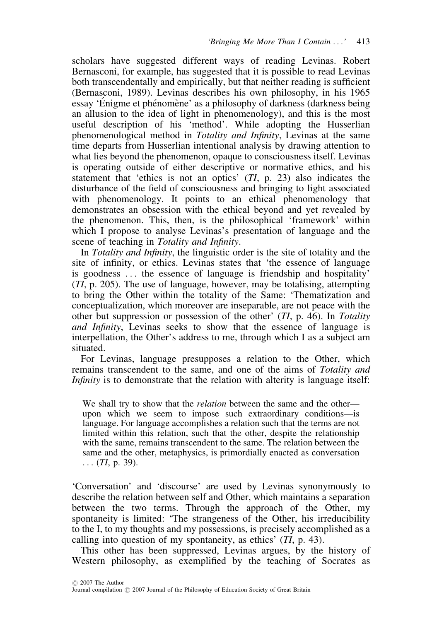scholars have suggested different ways of reading Levinas. Robert Bernasconi, for example, has suggested that it is possible to read Levinas both transcendentally and empirically, but that neither reading is sufficient (Bernasconi, 1989). Levinas describes his own philosophy, in his 1965 essay 'Énigme et phénomène' as a philosophy of darkness (darkness being an allusion to the idea of light in phenomenology), and this is the most useful description of his 'method'. While adopting the Husserlian phenomenological method in Totality and Infinity, Levinas at the same time departs from Husserlian intentional analysis by drawing attention to what lies beyond the phenomenon, opaque to consciousness itself. Levinas is operating outside of either descriptive or normative ethics, and his statement that 'ethics is not an optics'  $(TI, p. 23)$  also indicates the disturbance of the field of consciousness and bringing to light associated with phenomenology. It points to an ethical phenomenology that demonstrates an obsession with the ethical beyond and yet revealed by the phenomenon. This, then, is the philosophical 'framework' within which I propose to analyse Levinas's presentation of language and the scene of teaching in *Totality and Infinity*.

In *Totality and Infinity*, the linguistic order is the site of totality and the site of infinity, or ethics. Levinas states that 'the essence of language is goodness . . . the essence of language is friendship and hospitality' (TI, p. 205). The use of language, however, may be totalising, attempting to bring the Other within the totality of the Same: 'Thematization and conceptualization, which moreover are inseparable, are not peace with the other but suppression or possession of the other' (TI, p. 46). In Totality and Infinity, Levinas seeks to show that the essence of language is interpellation, the Other's address to me, through which I as a subject am situated.

For Levinas, language presupposes a relation to the Other, which remains transcendent to the same, and one of the aims of Totality and Infinity is to demonstrate that the relation with alterity is language itself:

We shall try to show that the *relation* between the same and the other upon which we seem to impose such extraordinary conditions—is language. For language accomplishes a relation such that the terms are not limited within this relation, such that the other, despite the relationship with the same, remains transcendent to the same. The relation between the same and the other, metaphysics, is primordially enacted as conversation  $\ldots$  (*TI*, p. 39).

'Conversation' and 'discourse' are used by Levinas synonymously to describe the relation between self and Other, which maintains a separation between the two terms. Through the approach of the Other, my spontaneity is limited: 'The strangeness of the Other, his irreducibility to the I, to my thoughts and my possessions, is precisely accomplished as a calling into question of my spontaneity, as ethics'  $(TI, p. 43)$ .

This other has been suppressed, Levinas argues, by the history of Western philosophy, as exemplified by the teaching of Socrates as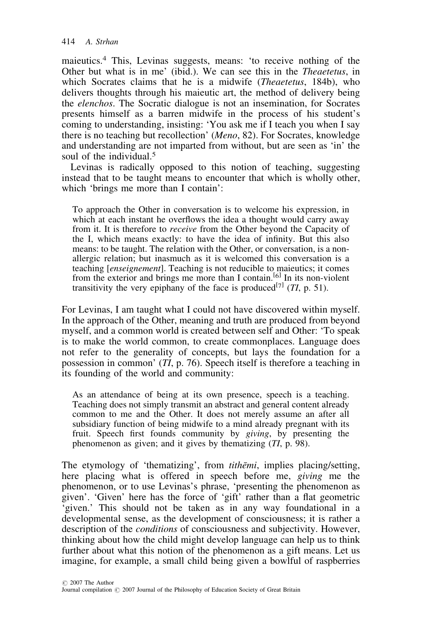maieutics.4 This, Levinas suggests, means: 'to receive nothing of the Other but what is in me' (ibid.). We can see this in the Theaetetus, in which Socrates claims that he is a midwife *(Theaetetus, 184b)*, who delivers thoughts through his maieutic art, the method of delivery being the elenchos. The Socratic dialogue is not an insemination, for Socrates presents himself as a barren midwife in the process of his student's coming to understanding, insisting: 'You ask me if I teach you when I say there is no teaching but recollection' (Meno, 82). For Socrates, knowledge and understanding are not imparted from without, but are seen as 'in' the soul of the individual.<sup>5</sup>

Levinas is radically opposed to this notion of teaching, suggesting instead that to be taught means to encounter that which is wholly other, which 'brings me more than I contain':

To approach the Other in conversation is to welcome his expression, in which at each instant he overflows the idea a thought would carry away from it. It is therefore to receive from the Other beyond the Capacity of the I, which means exactly: to have the idea of infinity. But this also means: to be taught. The relation with the Other, or conversation, is a nonallergic relation; but inasmuch as it is welcomed this conversation is a teaching [enseignement]. Teaching is not reducible to maieutics; it comes from the exterior and brings me more than I contain.<sup>[6]</sup> In its non-violent transitivity the very epiphany of the face is produced<sup>[7]</sup> ( $TT$ , p. 51).

For Levinas, I am taught what I could not have discovered within myself. In the approach of the Other, meaning and truth are produced from beyond myself, and a common world is created between self and Other: 'To speak is to make the world common, to create commonplaces. Language does not refer to the generality of concepts, but lays the foundation for a possession in common' (TI, p. 76). Speech itself is therefore a teaching in its founding of the world and community:

As an attendance of being at its own presence, speech is a teaching. Teaching does not simply transmit an abstract and general content already common to me and the Other. It does not merely assume an after all subsidiary function of being midwife to a mind already pregnant with its fruit. Speech first founds community by giving, by presenting the phenomenon as given; and it gives by thematizing (TI, p. 98).

The etymology of 'thematizing', from *tithemi*, implies placing/setting, here placing what is offered in speech before me, giving me the phenomenon, or to use Levinas's phrase, 'presenting the phenomenon as given'. 'Given' here has the force of 'gift' rather than a flat geometric 'given.' This should not be taken as in any way foundational in a developmental sense, as the development of consciousness; it is rather a description of the conditions of consciousness and subjectivity. However, thinking about how the child might develop language can help us to think further about what this notion of the phenomenon as a gift means. Let us imagine, for example, a small child being given a bowlful of raspberries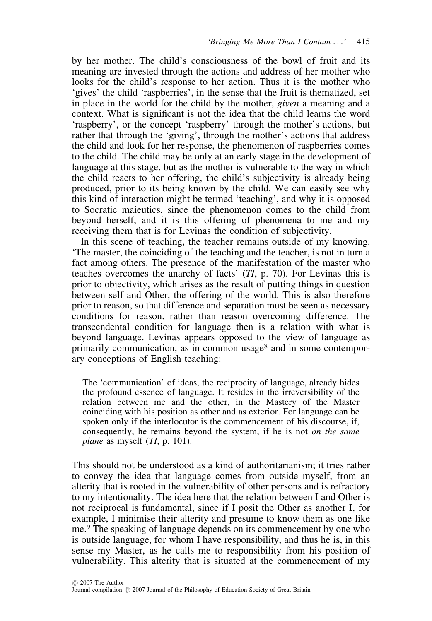by her mother. The child's consciousness of the bowl of fruit and its meaning are invested through the actions and address of her mother who looks for the child's response to her action. Thus it is the mother who 'gives' the child 'raspberries', in the sense that the fruit is thematized, set in place in the world for the child by the mother, given a meaning and a context. What is significant is not the idea that the child learns the word 'raspberry', or the concept 'raspberry' through the mother's actions, but rather that through the 'giving', through the mother's actions that address the child and look for her response, the phenomenon of raspberries comes to the child. The child may be only at an early stage in the development of language at this stage, but as the mother is vulnerable to the way in which the child reacts to her offering, the child's subjectivity is already being produced, prior to its being known by the child. We can easily see why this kind of interaction might be termed 'teaching', and why it is opposed to Socratic maieutics, since the phenomenon comes to the child from beyond herself, and it is this offering of phenomena to me and my receiving them that is for Levinas the condition of subjectivity.

In this scene of teaching, the teacher remains outside of my knowing. 'The master, the coinciding of the teaching and the teacher, is not in turn a fact among others. The presence of the manifestation of the master who teaches overcomes the anarchy of facts' (TI, p. 70). For Levinas this is prior to objectivity, which arises as the result of putting things in question between self and Other, the offering of the world. This is also therefore prior to reason, so that difference and separation must be seen as necessary conditions for reason, rather than reason overcoming difference. The transcendental condition for language then is a relation with what is beyond language. Levinas appears opposed to the view of language as primarily communication, as in common usage<sup>8</sup> and in some contemporary conceptions of English teaching:

The 'communication' of ideas, the reciprocity of language, already hides the profound essence of language. It resides in the irreversibility of the relation between me and the other, in the Mastery of the Master coinciding with his position as other and as exterior. For language can be spoken only if the interlocutor is the commencement of his discourse, if, consequently, he remains beyond the system, if he is not on the same *plane* as myself  $(TI, p. 101)$ .

This should not be understood as a kind of authoritarianism; it tries rather to convey the idea that language comes from outside myself, from an alterity that is rooted in the vulnerability of other persons and is refractory to my intentionality. The idea here that the relation between I and Other is not reciprocal is fundamental, since if I posit the Other as another I, for example, I minimise their alterity and presume to know them as one like me.9 The speaking of language depends on its commencement by one who is outside language, for whom I have responsibility, and thus he is, in this sense my Master, as he calls me to responsibility from his position of vulnerability. This alterity that is situated at the commencement of my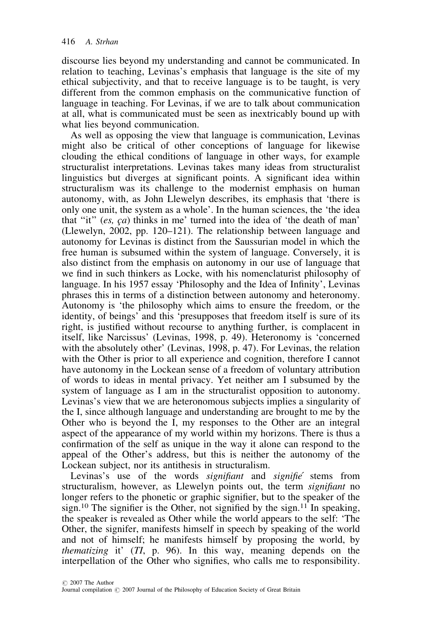discourse lies beyond my understanding and cannot be communicated. In relation to teaching, Levinas's emphasis that language is the site of my ethical subjectivity, and that to receive language is to be taught, is very different from the common emphasis on the communicative function of language in teaching. For Levinas, if we are to talk about communication at all, what is communicated must be seen as inextricably bound up with what lies beyond communication.

As well as opposing the view that language is communication, Levinas might also be critical of other conceptions of language for likewise clouding the ethical conditions of language in other ways, for example structuralist interpretations. Levinas takes many ideas from structuralist linguistics but diverges at significant points. A significant idea within structuralism was its challenge to the modernist emphasis on human autonomy, with, as John Llewelyn describes, its emphasis that 'there is only one unit, the system as a whole'. In the human sciences, the 'the idea that "it"  $(es, ca)$  thinks in me' turned into the idea of 'the death of man' (Llewelyn, 2002, pp. 120–121). The relationship between language and autonomy for Levinas is distinct from the Saussurian model in which the free human is subsumed within the system of language. Conversely, it is also distinct from the emphasis on autonomy in our use of language that we find in such thinkers as Locke, with his nomenclaturist philosophy of language. In his 1957 essay 'Philosophy and the Idea of Infinity', Levinas phrases this in terms of a distinction between autonomy and heteronomy. Autonomy is 'the philosophy which aims to ensure the freedom, or the identity, of beings' and this 'presupposes that freedom itself is sure of its right, is justified without recourse to anything further, is complacent in itself, like Narcissus' (Levinas, 1998, p. 49). Heteronomy is 'concerned with the absolutely other' (Levinas, 1998, p. 47). For Levinas, the relation with the Other is prior to all experience and cognition, therefore I cannot have autonomy in the Lockean sense of a freedom of voluntary attribution of words to ideas in mental privacy. Yet neither am I subsumed by the system of language as I am in the structuralist opposition to autonomy. Levinas's view that we are heteronomous subjects implies a singularity of the I, since although language and understanding are brought to me by the Other who is beyond the I, my responses to the Other are an integral aspect of the appearance of my world within my horizons. There is thus a confirmation of the self as unique in the way it alone can respond to the appeal of the Other's address, but this is neither the autonomy of the Lockean subject, nor its antithesis in structuralism.

Levinas's use of the words *signifiant* and *signifie* stems from structuralism, however, as Llewelyn points out, the term signifiant no longer refers to the phonetic or graphic signifier, but to the speaker of the sign.<sup>10</sup> The signifier is the Other, not signified by the sign.<sup>11</sup> In speaking, the speaker is revealed as Other while the world appears to the self: 'The Other, the signifer, manifests himself in speech by speaking of the world and not of himself; he manifests himself by proposing the world, by thematizing it' (TI, p. 96). In this way, meaning depends on the interpellation of the Other who signifies, who calls me to responsibility.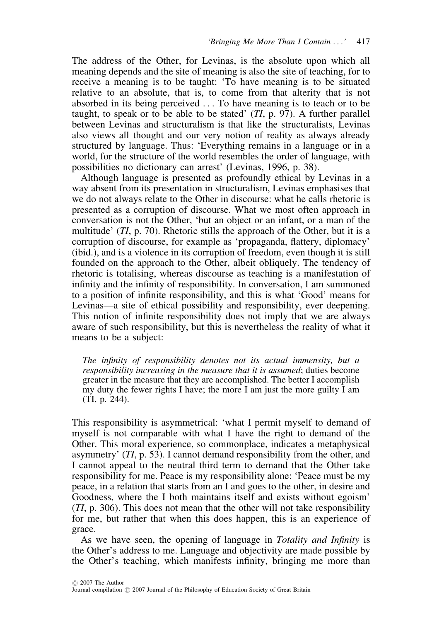The address of the Other, for Levinas, is the absolute upon which all meaning depends and the site of meaning is also the site of teaching, for to receive a meaning is to be taught: 'To have meaning is to be situated relative to an absolute, that is, to come from that alterity that is not absorbed in its being perceived . . . To have meaning is to teach or to be taught, to speak or to be able to be stated'  $(TI, p. 97)$ . A further parallel between Levinas and structuralism is that like the structuralists, Levinas also views all thought and our very notion of reality as always already structured by language. Thus: 'Everything remains in a language or in a world, for the structure of the world resembles the order of language, with possibilities no dictionary can arrest' (Levinas, 1996, p. 38).

Although language is presented as profoundly ethical by Levinas in a way absent from its presentation in structuralism, Levinas emphasises that we do not always relate to the Other in discourse: what he calls rhetoric is presented as a corruption of discourse. What we most often approach in conversation is not the Other, 'but an object or an infant, or a man of the multitude' (TI, p. 70). Rhetoric stills the approach of the Other, but it is a corruption of discourse, for example as 'propaganda, flattery, diplomacy' (ibid.), and is a violence in its corruption of freedom, even though it is still founded on the approach to the Other, albeit obliquely. The tendency of rhetoric is totalising, whereas discourse as teaching is a manifestation of infinity and the infinity of responsibility. In conversation, I am summoned to a position of infinite responsibility, and this is what 'Good' means for Levinas—a site of ethical possibility and responsibility, ever deepening. This notion of infinite responsibility does not imply that we are always aware of such responsibility, but this is nevertheless the reality of what it means to be a subject:

The infinity of responsibility denotes not its actual immensity, but a responsibility increasing in the measure that it is assumed; duties become greater in the measure that they are accomplished. The better I accomplish my duty the fewer rights I have; the more I am just the more guilty I am (TI, p. 244).

This responsibility is asymmetrical: 'what I permit myself to demand of myself is not comparable with what I have the right to demand of the Other. This moral experience, so commonplace, indicates a metaphysical asymmetry' (TI, p. 53). I cannot demand responsibility from the other, and I cannot appeal to the neutral third term to demand that the Other take responsibility for me. Peace is my responsibility alone: 'Peace must be my peace, in a relation that starts from an I and goes to the other, in desire and Goodness, where the I both maintains itself and exists without egoism' (TI, p. 306). This does not mean that the other will not take responsibility for me, but rather that when this does happen, this is an experience of grace.

As we have seen, the opening of language in Totality and Infinity is the Other's address to me. Language and objectivity are made possible by the Other's teaching, which manifests infinity, bringing me more than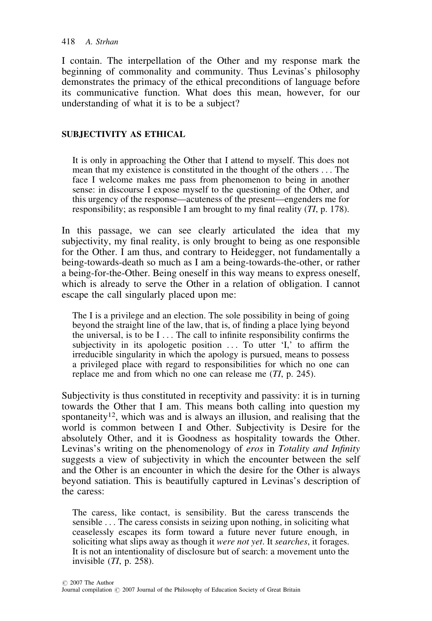#### 418 A. Strhan

I contain. The interpellation of the Other and my response mark the beginning of commonality and community. Thus Levinas's philosophy demonstrates the primacy of the ethical preconditions of language before its communicative function. What does this mean, however, for our understanding of what it is to be a subject?

## SUBJECTIVITY AS ETHICAL

It is only in approaching the Other that I attend to myself. This does not mean that my existence is constituted in the thought of the others . . . The face I welcome makes me pass from phenomenon to being in another sense: in discourse I expose myself to the questioning of the Other, and this urgency of the response—acuteness of the present—engenders me for responsibility; as responsible I am brought to my final reality (TI, p. 178).

In this passage, we can see clearly articulated the idea that my subjectivity, my final reality, is only brought to being as one responsible for the Other. I am thus, and contrary to Heidegger, not fundamentally a being-towards-death so much as I am a being-towards-the-other, or rather a being-for-the-Other. Being oneself in this way means to express oneself, which is already to serve the Other in a relation of obligation. I cannot escape the call singularly placed upon me:

The I is a privilege and an election. The sole possibility in being of going beyond the straight line of the law, that is, of finding a place lying beyond the universal, is to be  $I \dots$  The call to infinite responsibility confirms the subjectivity in its apologetic position  $\ldots$  To utter 'I,' to affirm the irreducible singularity in which the apology is pursued, means to possess a privileged place with regard to responsibilities for which no one can replace me and from which no one can release me (TI, p. 245).

Subjectivity is thus constituted in receptivity and passivity: it is in turning towards the Other that I am. This means both calling into question my spontaneity<sup>12</sup>, which was and is always an illusion, and realising that the world is common between I and Other. Subjectivity is Desire for the absolutely Other, and it is Goodness as hospitality towards the Other. Levinas's writing on the phenomenology of *eros* in Totality and Infinity suggests a view of subjectivity in which the encounter between the self and the Other is an encounter in which the desire for the Other is always beyond satiation. This is beautifully captured in Levinas's description of the caress:

The caress, like contact, is sensibility. But the caress transcends the sensible . . . The caress consists in seizing upon nothing, in soliciting what ceaselessly escapes its form toward a future never future enough, in soliciting what slips away as though it *were not yet*. It *searches*, it forages. It is not an intentionality of disclosure but of search: a movement unto the invisible (TI, p. 258).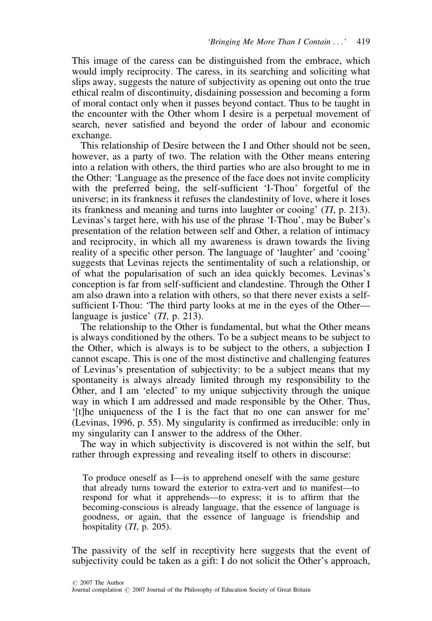This image of the caress can be distinguished from the embrace, which would imply reciprocity. The caress, in its searching and soliciting what slips away, suggests the nature of subjectivity as opening out onto the true ethical realm of discontinuity, disdaining possession and becoming a form of moral contact only when it passes beyond contact. Thus to be taught in the encounter with the Other whom I desire is a perpetual movement of search, never satisfied and beyond the order of labour and economic exchange.

This relationship of Desire between the I and Other should not be seen, however, as a party of two. The relation with the Other means entering into a relation with others, the third parties who are also brought to me in the Other: 'Language as the presence of the face does not invite complicity with the preferred being, the self-sufficient 'I-Thou' forgetful of the universe; in its frankness it refuses the clandestinity of love, where it loses its frankness and meaning and turns into laughter or cooing' (TI, p. 213). Levinas's target here, with his use of the phrase 'I-Thou', may be Buber's presentation of the relation between self and Other, a relation of intimacy and reciprocity, in which all my awareness is drawn towards the living reality of a specific other person. The language of 'laughter' and 'cooing' suggests that Levinas rejects the sentimentality of such a relationship, or of what the popularisation of such an idea quickly becomes. Levinas's conception is far from self-sufficient and clandestine. Through the Other I am also drawn into a relation with others, so that there never exists a selfsufficient I-Thou: 'The third party looks at me in the eyes of the Other language is justice'  $(TI, p. 213)$ .

The relationship to the Other is fundamental, but what the Other means is always conditioned by the others. To be a subject means to be subject to the Other, which is always is to be subject to the others, a subjection I cannot escape. This is one of the most distinctive and challenging features of Levinas's presentation of subjectivity: to be a subject means that my spontaneity is always already limited through my responsibility to the Other, and I am 'elected' to my unique subjectivity through the unique way in which I am addressed and made responsible by the Other. Thus, '[t]he uniqueness of the I is the fact that no one can answer for me' (Levinas, 1996, p. 55). My singularity is confirmed as irreducible: only in my singularity can I answer to the address of the Other.

The way in which subjectivity is discovered is not within the self, but rather through expressing and revealing itself to others in discourse:

To produce oneself as I—is to apprehend oneself with the same gesture that already turns toward the exterior to extra-vert and to manifest—to respond for what it apprehends—to express; it is to affirm that the becoming-conscious is already language, that the essence of language is goodness, or again, that the essence of language is friendship and hospitality (*TI*, p. 205).

The passivity of the self in receptivity here suggests that the event of subjectivity could be taken as a gift: I do not solicit the Other's approach,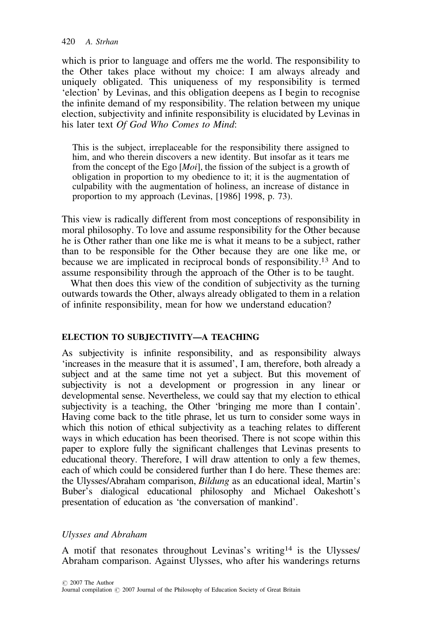which is prior to language and offers me the world. The responsibility to the Other takes place without my choice: I am always already and uniquely obligated. This uniqueness of my responsibility is termed 'election' by Levinas, and this obligation deepens as I begin to recognise the infinite demand of my responsibility. The relation between my unique election, subjectivity and infinite responsibility is elucidated by Levinas in his later text Of God Who Comes to Mind:

This is the subject, irreplaceable for the responsibility there assigned to him, and who therein discovers a new identity. But insofar as it tears me from the concept of the Ego [Moi], the fission of the subject is a growth of obligation in proportion to my obedience to it; it is the augmentation of culpability with the augmentation of holiness, an increase of distance in proportion to my approach (Levinas, [1986] 1998, p. 73).

This view is radically different from most conceptions of responsibility in moral philosophy. To love and assume responsibility for the Other because he is Other rather than one like me is what it means to be a subject, rather than to be responsible for the Other because they are one like me, or because we are implicated in reciprocal bonds of responsibility.13 And to assume responsibility through the approach of the Other is to be taught.

What then does this view of the condition of subjectivity as the turning outwards towards the Other, always already obligated to them in a relation of infinite responsibility, mean for how we understand education?

## ELECTION TO SUBJECTIVITY—A TEACHING

As subjectivity is infinite responsibility, and as responsibility always 'increases in the measure that it is assumed', I am, therefore, both already a subject and at the same time not yet a subject. But this movement of subjectivity is not a development or progression in any linear or developmental sense. Nevertheless, we could say that my election to ethical subjectivity is a teaching, the Other 'bringing me more than I contain'. Having come back to the title phrase, let us turn to consider some ways in which this notion of ethical subjectivity as a teaching relates to different ways in which education has been theorised. There is not scope within this paper to explore fully the significant challenges that Levinas presents to educational theory. Therefore, I will draw attention to only a few themes, each of which could be considered further than I do here. These themes are: the Ulysses/Abraham comparison, Bildung as an educational ideal, Martin's Buber's dialogical educational philosophy and Michael Oakeshott's presentation of education as 'the conversation of mankind'.

#### Ulysses and Abraham

A motif that resonates throughout Levinas's writing<sup>14</sup> is the Ulysses/ Abraham comparison. Against Ulysses, who after his wanderings returns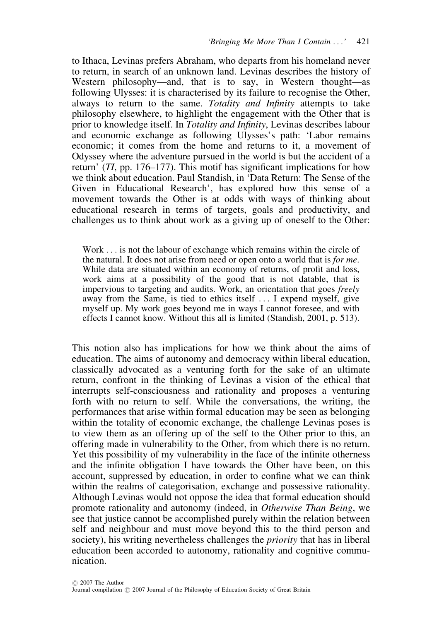to Ithaca, Levinas prefers Abraham, who departs from his homeland never to return, in search of an unknown land. Levinas describes the history of Western philosophy—and, that is to say, in Western thought—as following Ulysses: it is characterised by its failure to recognise the Other, always to return to the same. Totality and Infinity attempts to take philosophy elsewhere, to highlight the engagement with the Other that is prior to knowledge itself. In *Totality and Infinity*, Levinas describes labour and economic exchange as following Ulysses's path: 'Labor remains economic; it comes from the home and returns to it, a movement of Odyssey where the adventure pursued in the world is but the accident of a return' (TI, pp. 176–177). This motif has significant implications for how we think about education. Paul Standish, in 'Data Return: The Sense of the Given in Educational Research', has explored how this sense of a movement towards the Other is at odds with ways of thinking about educational research in terms of targets, goals and productivity, and challenges us to think about work as a giving up of oneself to the Other:

Work . . . is not the labour of exchange which remains within the circle of the natural. It does not arise from need or open onto a world that is for me. While data are situated within an economy of returns, of profit and loss, work aims at a possibility of the good that is not datable, that is impervious to targeting and audits. Work, an orientation that goes freely away from the Same, is tied to ethics itself . . . I expend myself, give myself up. My work goes beyond me in ways I cannot foresee, and with effects I cannot know. Without this all is limited (Standish, 2001, p. 513).

This notion also has implications for how we think about the aims of education. The aims of autonomy and democracy within liberal education, classically advocated as a venturing forth for the sake of an ultimate return, confront in the thinking of Levinas a vision of the ethical that interrupts self-consciousness and rationality and proposes a venturing forth with no return to self. While the conversations, the writing, the performances that arise within formal education may be seen as belonging within the totality of economic exchange, the challenge Levinas poses is to view them as an offering up of the self to the Other prior to this, an offering made in vulnerability to the Other, from which there is no return. Yet this possibility of my vulnerability in the face of the infinite otherness and the infinite obligation I have towards the Other have been, on this account, suppressed by education, in order to confine what we can think within the realms of categorisation, exchange and possessive rationality. Although Levinas would not oppose the idea that formal education should promote rationality and autonomy (indeed, in Otherwise Than Being, we see that justice cannot be accomplished purely within the relation between self and neighbour and must move beyond this to the third person and society), his writing nevertheless challenges the *priority* that has in liberal education been accorded to autonomy, rationality and cognitive communication.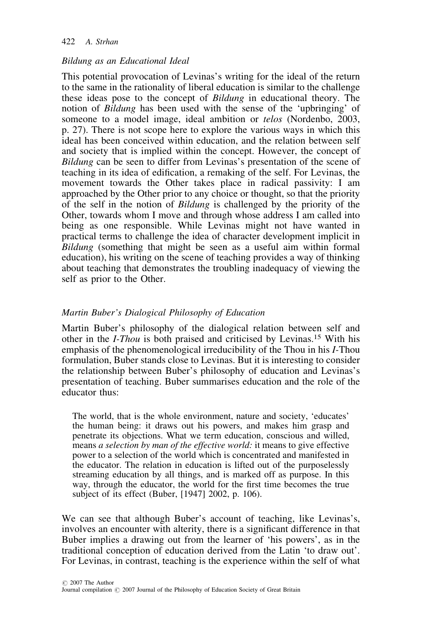#### 422 A. Strhan

#### Bildung as an Educational Ideal

This potential provocation of Levinas's writing for the ideal of the return to the same in the rationality of liberal education is similar to the challenge these ideas pose to the concept of Bildung in educational theory. The notion of Bildung has been used with the sense of the 'upbringing' of someone to a model image, ideal ambition or *telos* (Nordenbo, 2003, p. 27). There is not scope here to explore the various ways in which this ideal has been conceived within education, and the relation between self and society that is implied within the concept. However, the concept of Bildung can be seen to differ from Levinas's presentation of the scene of teaching in its idea of edification, a remaking of the self. For Levinas, the movement towards the Other takes place in radical passivity: I am approached by the Other prior to any choice or thought, so that the priority of the self in the notion of Bildung is challenged by the priority of the Other, towards whom I move and through whose address I am called into being as one responsible. While Levinas might not have wanted in practical terms to challenge the idea of character development implicit in Bildung (something that might be seen as a useful aim within formal education), his writing on the scene of teaching provides a way of thinking about teaching that demonstrates the troubling inadequacy of viewing the self as prior to the Other.

### Martin Buber's Dialogical Philosophy of Education

Martin Buber's philosophy of the dialogical relation between self and other in the I-Thou is both praised and criticised by Levinas.15 With his emphasis of the phenomenological irreducibility of the Thou in his I-Thou formulation, Buber stands close to Levinas. But it is interesting to consider the relationship between Buber's philosophy of education and Levinas's presentation of teaching. Buber summarises education and the role of the educator thus:

The world, that is the whole environment, nature and society, 'educates' the human being: it draws out his powers, and makes him grasp and penetrate its objections. What we term education, conscious and willed, means a selection by man of the effective world: it means to give effective power to a selection of the world which is concentrated and manifested in the educator. The relation in education is lifted out of the purposelessly streaming education by all things, and is marked off as purpose. In this way, through the educator, the world for the first time becomes the true subject of its effect (Buber, [1947] 2002, p. 106).

We can see that although Buber's account of teaching, like Levinas's, involves an encounter with alterity, there is a significant difference in that Buber implies a drawing out from the learner of 'his powers', as in the traditional conception of education derived from the Latin 'to draw out'. For Levinas, in contrast, teaching is the experience within the self of what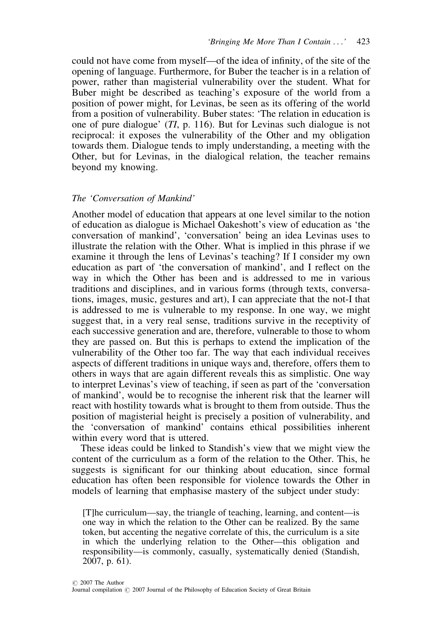could not have come from myself—of the idea of infinity, of the site of the opening of language. Furthermore, for Buber the teacher is in a relation of power, rather than magisterial vulnerability over the student. What for Buber might be described as teaching's exposure of the world from a position of power might, for Levinas, be seen as its offering of the world from a position of vulnerability. Buber states: 'The relation in education is one of pure dialogue' (TI, p. 116). But for Levinas such dialogue is not reciprocal: it exposes the vulnerability of the Other and my obligation towards them. Dialogue tends to imply understanding, a meeting with the Other, but for Levinas, in the dialogical relation, the teacher remains beyond my knowing.

#### The 'Conversation of Mankind'

Another model of education that appears at one level similar to the notion of education as dialogue is Michael Oakeshott's view of education as 'the conversation of mankind', 'conversation' being an idea Levinas uses to illustrate the relation with the Other. What is implied in this phrase if we examine it through the lens of Levinas's teaching? If I consider my own education as part of 'the conversation of mankind', and I reflect on the way in which the Other has been and is addressed to me in various traditions and disciplines, and in various forms (through texts, conversations, images, music, gestures and art), I can appreciate that the not-I that is addressed to me is vulnerable to my response. In one way, we might suggest that, in a very real sense, traditions survive in the receptivity of each successive generation and are, therefore, vulnerable to those to whom they are passed on. But this is perhaps to extend the implication of the vulnerability of the Other too far. The way that each individual receives aspects of different traditions in unique ways and, therefore, offers them to others in ways that are again different reveals this as simplistic. One way to interpret Levinas's view of teaching, if seen as part of the 'conversation of mankind', would be to recognise the inherent risk that the learner will react with hostility towards what is brought to them from outside. Thus the position of magisterial height is precisely a position of vulnerability, and the 'conversation of mankind' contains ethical possibilities inherent within every word that is uttered.

These ideas could be linked to Standish's view that we might view the content of the curriculum as a form of the relation to the Other. This, he suggests is significant for our thinking about education, since formal education has often been responsible for violence towards the Other in models of learning that emphasise mastery of the subject under study:

[T]he curriculum—say, the triangle of teaching, learning, and content—is one way in which the relation to the Other can be realized. By the same token, but accenting the negative correlate of this, the curriculum is a site in which the underlying relation to the Other—this obligation and responsibility—is commonly, casually, systematically denied (Standish, 2007, p. 61).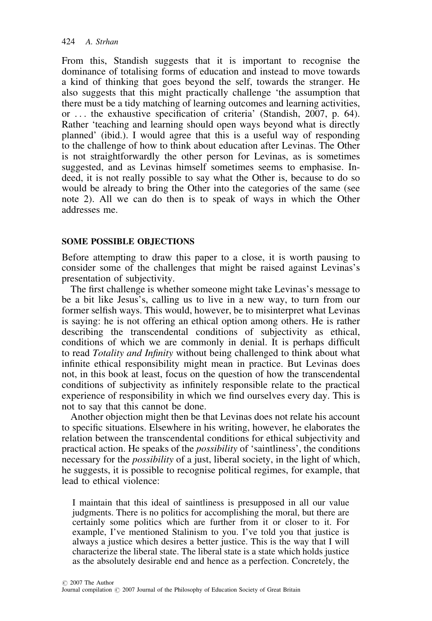#### 424 A. Strhan

From this, Standish suggests that it is important to recognise the dominance of totalising forms of education and instead to move towards a kind of thinking that goes beyond the self, towards the stranger. He also suggests that this might practically challenge 'the assumption that there must be a tidy matching of learning outcomes and learning activities, or . . . the exhaustive specification of criteria' (Standish, 2007, p. 64). Rather 'teaching and learning should open ways beyond what is directly planned' (ibid.). I would agree that this is a useful way of responding to the challenge of how to think about education after Levinas. The Other is not straightforwardly the other person for Levinas, as is sometimes suggested, and as Levinas himself sometimes seems to emphasise. Indeed, it is not really possible to say what the Other is, because to do so would be already to bring the Other into the categories of the same (see note 2). All we can do then is to speak of ways in which the Other addresses me.

#### SOME POSSIBLE OBJECTIONS

Before attempting to draw this paper to a close, it is worth pausing to consider some of the challenges that might be raised against Levinas's presentation of subjectivity.

The first challenge is whether someone might take Levinas's message to be a bit like Jesus's, calling us to live in a new way, to turn from our former selfish ways. This would, however, be to misinterpret what Levinas is saying: he is not offering an ethical option among others. He is rather describing the transcendental conditions of subjectivity as ethical, conditions of which we are commonly in denial. It is perhaps difficult to read Totality and Infinity without being challenged to think about what infinite ethical responsibility might mean in practice. But Levinas does not, in this book at least, focus on the question of how the transcendental conditions of subjectivity as infinitely responsible relate to the practical experience of responsibility in which we find ourselves every day. This is not to say that this cannot be done.

Another objection might then be that Levinas does not relate his account to specific situations. Elsewhere in his writing, however, he elaborates the relation between the transcendental conditions for ethical subjectivity and practical action. He speaks of the possibility of 'saintliness', the conditions necessary for the possibility of a just, liberal society, in the light of which, he suggests, it is possible to recognise political regimes, for example, that lead to ethical violence:

I maintain that this ideal of saintliness is presupposed in all our value judgments. There is no politics for accomplishing the moral, but there are certainly some politics which are further from it or closer to it. For example, I've mentioned Stalinism to you. I've told you that justice is always a justice which desires a better justice. This is the way that I will characterize the liberal state. The liberal state is a state which holds justice as the absolutely desirable end and hence as a perfection. Concretely, the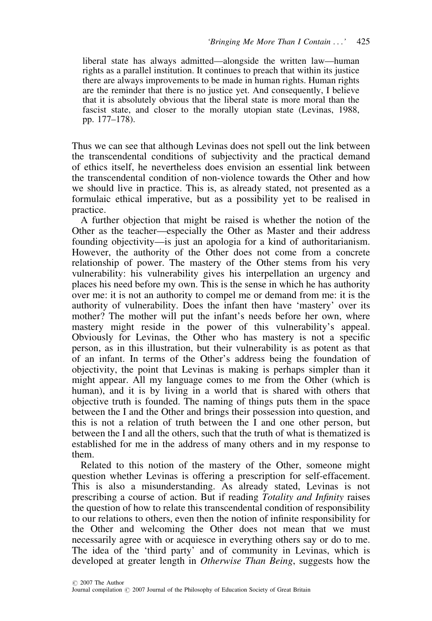liberal state has always admitted—alongside the written law—human rights as a parallel institution. It continues to preach that within its justice there are always improvements to be made in human rights. Human rights are the reminder that there is no justice yet. And consequently, I believe that it is absolutely obvious that the liberal state is more moral than the fascist state, and closer to the morally utopian state (Levinas, 1988, pp. 177–178).

Thus we can see that although Levinas does not spell out the link between the transcendental conditions of subjectivity and the practical demand of ethics itself, he nevertheless does envision an essential link between the transcendental condition of non-violence towards the Other and how we should live in practice. This is, as already stated, not presented as a formulaic ethical imperative, but as a possibility yet to be realised in practice.

A further objection that might be raised is whether the notion of the Other as the teacher—especially the Other as Master and their address founding objectivity—is just an apologia for a kind of authoritarianism. However, the authority of the Other does not come from a concrete relationship of power. The mastery of the Other stems from his very vulnerability: his vulnerability gives his interpellation an urgency and places his need before my own. This is the sense in which he has authority over me: it is not an authority to compel me or demand from me: it is the authority of vulnerability. Does the infant then have 'mastery' over its mother? The mother will put the infant's needs before her own, where mastery might reside in the power of this vulnerability's appeal. Obviously for Levinas, the Other who has mastery is not a specific person, as in this illustration, but their vulnerability is as potent as that of an infant. In terms of the Other's address being the foundation of objectivity, the point that Levinas is making is perhaps simpler than it might appear. All my language comes to me from the Other (which is human), and it is by living in a world that is shared with others that objective truth is founded. The naming of things puts them in the space between the I and the Other and brings their possession into question, and this is not a relation of truth between the I and one other person, but between the I and all the others, such that the truth of what is thematized is established for me in the address of many others and in my response to them.

Related to this notion of the mastery of the Other, someone might question whether Levinas is offering a prescription for self-effacement. This is also a misunderstanding. As already stated, Levinas is not prescribing a course of action. But if reading Totality and Infinity raises the question of how to relate this transcendental condition of responsibility to our relations to others, even then the notion of infinite responsibility for the Other and welcoming the Other does not mean that we must necessarily agree with or acquiesce in everything others say or do to me. The idea of the 'third party' and of community in Levinas, which is developed at greater length in *Otherwise Than Being*, suggests how the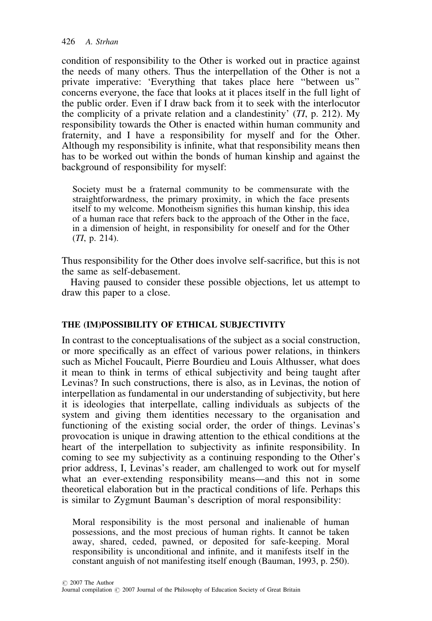condition of responsibility to the Other is worked out in practice against the needs of many others. Thus the interpellation of the Other is not a private imperative: 'Everything that takes place here ''between us'' concerns everyone, the face that looks at it places itself in the full light of the public order. Even if I draw back from it to seek with the interlocutor the complicity of a private relation and a clandestinity'  $(TI, p. 212)$ . My responsibility towards the Other is enacted within human community and fraternity, and I have a responsibility for myself and for the Other. Although my responsibility is infinite, what that responsibility means then has to be worked out within the bonds of human kinship and against the background of responsibility for myself:

Society must be a fraternal community to be commensurate with the straightforwardness, the primary proximity, in which the face presents itself to my welcome. Monotheism signifies this human kinship, this idea of a human race that refers back to the approach of the Other in the face, in a dimension of height, in responsibility for oneself and for the Other (TI, p. 214).

Thus responsibility for the Other does involve self-sacrifice, but this is not the same as self-debasement.

Having paused to consider these possible objections, let us attempt to draw this paper to a close.

# THE (IM)POSSIBILITY OF ETHICAL SUBJECTIVITY

In contrast to the conceptualisations of the subject as a social construction, or more specifically as an effect of various power relations, in thinkers such as Michel Foucault, Pierre Bourdieu and Louis Althusser, what does it mean to think in terms of ethical subjectivity and being taught after Levinas? In such constructions, there is also, as in Levinas, the notion of interpellation as fundamental in our understanding of subjectivity, but here it is ideologies that interpellate, calling individuals as subjects of the system and giving them identities necessary to the organisation and functioning of the existing social order, the order of things. Levinas's provocation is unique in drawing attention to the ethical conditions at the heart of the interpellation to subjectivity as infinite responsibility. In coming to see my subjectivity as a continuing responding to the Other's prior address, I, Levinas's reader, am challenged to work out for myself what an ever-extending responsibility means—and this not in some theoretical elaboration but in the practical conditions of life. Perhaps this is similar to Zygmunt Bauman's description of moral responsibility:

Moral responsibility is the most personal and inalienable of human possessions, and the most precious of human rights. It cannot be taken away, shared, ceded, pawned, or deposited for safe-keeping. Moral responsibility is unconditional and infinite, and it manifests itself in the constant anguish of not manifesting itself enough (Bauman, 1993, p. 250).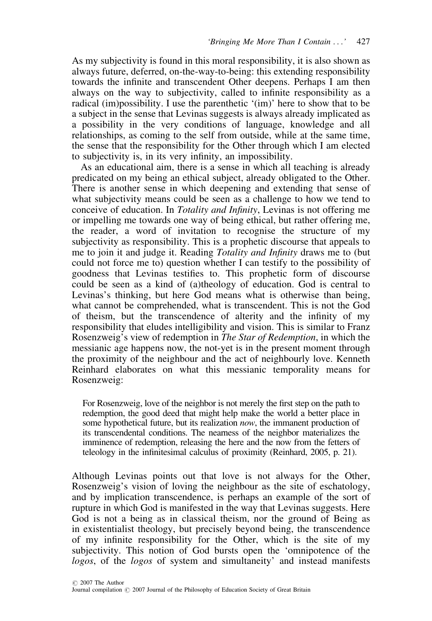As my subjectivity is found in this moral responsibility, it is also shown as always future, deferred, on-the-way-to-being: this extending responsibility towards the infinite and transcendent Other deepens. Perhaps I am then always on the way to subjectivity, called to infinite responsibility as a radical (im)possibility. I use the parenthetic '(im)' here to show that to be a subject in the sense that Levinas suggests is always already implicated as a possibility in the very conditions of language, knowledge and all relationships, as coming to the self from outside, while at the same time, the sense that the responsibility for the Other through which I am elected to subjectivity is, in its very infinity, an impossibility.

As an educational aim, there is a sense in which all teaching is already predicated on my being an ethical subject, already obligated to the Other. There is another sense in which deepening and extending that sense of what subjectivity means could be seen as a challenge to how we tend to conceive of education. In Totality and Infinity, Levinas is not offering me or impelling me towards one way of being ethical, but rather offering me, the reader, a word of invitation to recognise the structure of my subjectivity as responsibility. This is a prophetic discourse that appeals to me to join it and judge it. Reading Totality and Infinity draws me to (but could not force me to) question whether I can testify to the possibility of goodness that Levinas testifies to. This prophetic form of discourse could be seen as a kind of (a)theology of education. God is central to Levinas's thinking, but here God means what is otherwise than being, what cannot be comprehended, what is transcendent. This is not the God of theism, but the transcendence of alterity and the infinity of my responsibility that eludes intelligibility and vision. This is similar to Franz Rosenzweig's view of redemption in The Star of Redemption, in which the messianic age happens now, the not-yet is in the present moment through the proximity of the neighbour and the act of neighbourly love. Kenneth Reinhard elaborates on what this messianic temporality means for Rosenzweig:

For Rosenzweig, love of the neighbor is not merely the first step on the path to redemption, the good deed that might help make the world a better place in some hypothetical future, but its realization now, the immanent production of its transcendental conditions. The nearness of the neighbor materializes the imminence of redemption, releasing the here and the now from the fetters of teleology in the infinitesimal calculus of proximity (Reinhard, 2005, p. 21).

Although Levinas points out that love is not always for the Other, Rosenzweig's vision of loving the neighbour as the site of eschatology, and by implication transcendence, is perhaps an example of the sort of rupture in which God is manifested in the way that Levinas suggests. Here God is not a being as in classical theism, nor the ground of Being as in existentialist theology, but precisely beyond being, the transcendence of my infinite responsibility for the Other, which is the site of my subjectivity. This notion of God bursts open the 'omnipotence of the logos, of the logos of system and simultaneity' and instead manifests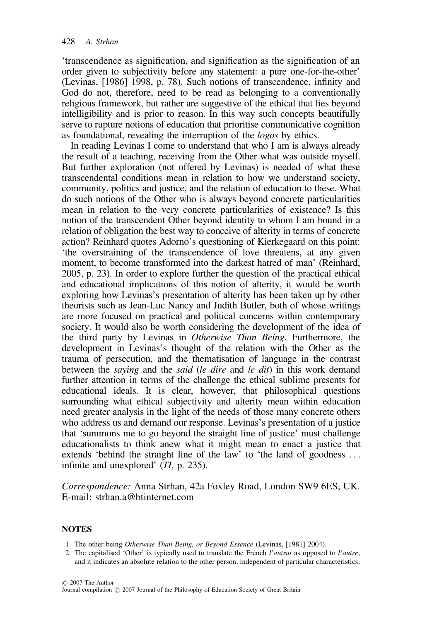'transcendence as signification, and signification as the signification of an order given to subjectivity before any statement: a pure one-for-the-other' (Levinas, [1986] 1998, p. 78). Such notions of transcendence, infinity and God do not, therefore, need to be read as belonging to a conventionally religious framework, but rather are suggestive of the ethical that lies beyond intelligibility and is prior to reason. In this way such concepts beautifully serve to rupture notions of education that prioritise communicative cognition as foundational, revealing the interruption of the logos by ethics.

In reading Levinas I come to understand that who I am is always already the result of a teaching, receiving from the Other what was outside myself. But further exploration (not offered by Levinas) is needed of what these transcendental conditions mean in relation to how we understand society, community, politics and justice, and the relation of education to these. What do such notions of the Other who is always beyond concrete particularities mean in relation to the very concrete particularities of existence? Is this notion of the transcendent Other beyond identity to whom I am bound in a relation of obligation the best way to conceive of alterity in terms of concrete action? Reinhard quotes Adorno's questioning of Kierkegaard on this point: 'the overstraining of the transcendence of love threatens, at any given moment, to become transformed into the darkest hatred of man' (Reinhard, 2005, p. 23). In order to explore further the question of the practical ethical and educational implications of this notion of alterity, it would be worth exploring how Levinas's presentation of alterity has been taken up by other theorists such as Jean-Luc Nancy and Judith Butler, both of whose writings are more focused on practical and political concerns within contemporary society. It would also be worth considering the development of the idea of the third party by Levinas in Otherwise Than Being. Furthermore, the development in Levinas's thought of the relation with the Other as the trauma of persecution, and the thematisation of language in the contrast between the *saying* and the *said (le dire* and *le dit)* in this work demand further attention in terms of the challenge the ethical sublime presents for educational ideals. It is clear, however, that philosophical questions surrounding what ethical subjectivity and alterity mean within education need greater analysis in the light of the needs of those many concrete others who address us and demand our response. Levinas's presentation of a justice that 'summons me to go beyond the straight line of justice' must challenge educationalists to think anew what it might mean to enact a justice that extends 'behind the straight line of the law' to 'the land of goodness ... infinite and unexplored' (TI, p. 235).

Correspondence: Anna Strhan, 42a Foxley Road, London SW9 6ES, UK. E-mail: strhan  $a\omega$ btinternet.com

#### **NOTES**

- 1. The other being Otherwise Than Being, or Beyond Essence (Levinas, [1981] 2004).
- 2. The capitalised 'Other' is typically used to translate the French l'autrui as opposed to l'autre, and it indicates an absolute relation to the other person, independent of particular characteristics,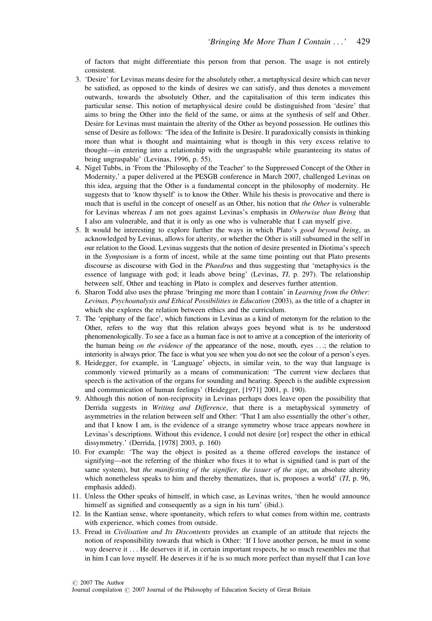of factors that might differentiate this person from that person. The usage is not entirely consistent.

- 3. 'Desire' for Levinas means desire for the absolutely other, a metaphysical desire which can never be satisfied, as opposed to the kinds of desires we can satisfy, and thus denotes a movement outwards, towards the absolutely Other, and the capitalisation of this term indicates this particular sense. This notion of metaphysical desire could be distinguished from 'desire' that aims to bring the Other into the field of the same, or aims at the synthesis of self and Other. Desire for Levinas must maintain the alterity of the Other as beyond possession. He outlines this sense of Desire as follows: 'The idea of the Infinite is Desire. It paradoxically consists in thinking more than what is thought and maintaining what is though in this very excess relative to thought—in entering into a relationship with the ungraspable while guaranteeing its status of being ungraspable' (Levinas, 1996, p. 55).
- 4. Nigel Tubbs, in 'From the 'Philosophy of the Teacher' to the Suppressed Concept of the Other in Modernity,' a paper delivered at the PESGB conference in March 2007, challenged Levinas on this idea, arguing that the Other is a fundamental concept in the philosophy of modernity. He suggests that to 'know thyself' is to know the Other. While his thesis is provocative and there is much that is useful in the concept of oneself as an Other, his notion that the Other is vulnerable for Levinas whereas I am not goes against Levinas's emphasis in Otherwise than Being that I also am vulnerable, and that it is only as one who is vulnerable that I can myself give.
- 5. It would be interesting to explore further the ways in which Plato's good beyond being, as acknowledged by Levinas, allows for alterity, or whether the Other is still subsumed in the self in our relation to the Good. Levinas suggests that the notion of desire presented in Diotima's speech in the Symposium is a form of incest, while at the same time pointing out that Plato presents discourse as discourse with God in the Phaedrus and thus suggesting that 'metaphysics is the essence of language with god; it leads above being' (Levinas, TI, p. 297). The relationship between self, Other and teaching in Plato is complex and deserves further attention.
- 6. Sharon Todd also uses the phrase 'bringing me more than I contain' in Learning from the Other: Levinas, Psychoanalysis and Ethical Possibilities in Education (2003), as the title of a chapter in which she explores the relation between ethics and the curriculum.
- 7. The 'epiphany of the face', which functions in Levinas as a kind of metonym for the relation to the Other, refers to the way that this relation always goes beyond what is to be understood phenomenologically. To see a face as a human face is not to arrive at a conception of the interiority of the human being on the evidence of the appearance of the nose, mouth, eyes ...; the relation to interiority is always prior. The face is what you see when you do not see the colour of a person's eyes.
- 8. Heidegger, for example, in 'Language' objects, in similar vein, to the way that language is commonly viewed primarily as a means of communication: 'The current view declares that speech is the activation of the organs for sounding and hearing. Speech is the audible expression and communication of human feelings' (Heidegger, [1971] 2001, p. 190).
- 9. Although this notion of non-reciprocity in Levinas perhaps does leave open the possibility that Derrida suggests in Writing and Difference, that there is a metaphysical symmetry of asymmetries in the relation between self and Other: 'That I am also essentially the other's other, and that I know I am, is the evidence of a strange symmetry whose trace appears nowhere in Levinas's descriptions. Without this evidence, I could not desire [or] respect the other in ethical dissymmetry.' (Derrida, [1978] 2003, p. 160)
- 10. For example: 'The way the object is posited as a theme offered envelops the instance of signifying—not the referring of the thinker who fixes it to what is signified (and is part of the same system), but the manifesting of the signifier, the issuer of the sign, an absolute alterity which nonetheless speaks to him and thereby thematizes, that is, proposes a world'  $(TI, p. 96, T. 96)$ emphasis added).
- 11. Unless the Other speaks of himself, in which case, as Levinas writes, 'then he would announce himself as signified and consequently as a sign in his turn' (ibid.).
- 12. In the Kantian sense, where spontaneity, which refers to what comes from within me, contrasts with experience, which comes from outside.
- 13. Freud in Civilisation and Its Discontents provides an example of an attitude that rejects the notion of responsibility towards that which is Other: 'If I love another person, he must in some way deserve it . . . He deserves it if, in certain important respects, he so much resembles me that in him I can love myself. He deserves it if he is so much more perfect than myself that I can love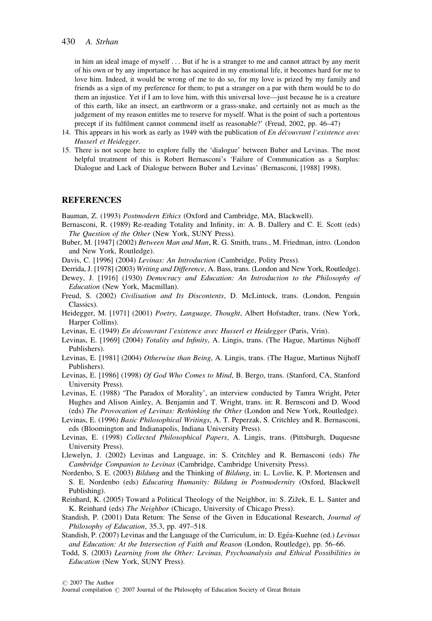#### 430 A. Strhan

in him an ideal image of myself . . . But if he is a stranger to me and cannot attract by any merit of his own or by any importance he has acquired in my emotional life, it becomes hard for me to love him. Indeed, it would be wrong of me to do so, for my love is prized by my family and friends as a sign of my preference for them; to put a stranger on a par with them would be to do them an injustice. Yet if I am to love him, with this universal love—just because he is a creature of this earth, like an insect, an earthworm or a grass-snake, and certainly not as much as the judgement of my reason entitles me to reserve for myself. What is the point of such a portentous precept if its fulfilment cannot commend itself as reasonable?' (Freud, 2002, pp. 46–47)

- 14. This appears in his work as early as 1949 with the publication of En découvrant l'existence avec Husserl et Heidegger.
- 15. There is not scope here to explore fully the 'dialogue' between Buber and Levinas. The most helpful treatment of this is Robert Bernasconi's 'Failure of Communication as a Surplus: Dialogue and Lack of Dialogue between Buber and Levinas' (Bernasconi, [1988] 1998).

#### **REFERENCES**

Bauman, Z. (1993) Postmodern Ethics (Oxford and Cambridge, MA, Blackwell).

- Bernasconi, R. (1989) Re-reading Totality and Infinity, in: A. B. Dallery and C. E. Scott (eds) The Question of the Other (New York, SUNY Press).
- Buber, M. [1947] (2002) Between Man and Man, R. G. Smith, trans., M. Friedman, intro. (London and New York, Routledge).
- Davis, C. [1996] (2004) Levinas: An Introduction (Cambridge, Polity Press).
- Derrida, J. [1978] (2003) Writing and Difference, A. Bass, trans. (London and New York, Routledge).
- Dewey, J. [1916] (1930) Democracy and Education: An Introduction to the Philosophy of Education (New York, Macmillan).
- Freud, S. (2002) Civilisation and Its Discontents, D. McLintock, trans. (London, Penguin Classics).
- Heidegger, M. [1971] (2001) Poetry, Language, Thought, Albert Hofstadter, trans. (New York, Harper Collins).
- Levinas, E. (1949) En découvrant l'existence avec Husserl et Heidegger (Paris, Vrin).
- Levinas, E. [1969] (2004) Totality and Infinity, A. Lingis, trans. (The Hague, Martinus Nijhoff Publishers).
- Levinas, E. [1981] (2004) Otherwise than Being, A. Lingis, trans. (The Hague, Martinus Nijhoff Publishers).
- Levinas, E. [1986] (1998) Of God Who Comes to Mind, B. Bergo, trans. (Stanford, CA, Stanford University Press).
- Levinas, E. (1988) 'The Paradox of Morality', an interview conducted by Tamra Wright, Peter Hughes and Alison Ainley, A. Benjamin and T. Wright, trans. in: R. Bernsconi and D. Wood (eds) The Provocation of Levinas: Rethinking the Other (London and New York, Routledge).
- Levinas, E. (1996) Basic Philosophical Writings, A. T. Peperzak, S. Critchley and R. Bernasconi, eds (Bloomington and Indianapolis, Indiana University Press).
- Levinas, E. (1998) Collected Philosophical Papers, A. Lingis, trans. (Pittsburgh, Duquesne University Press).
- Llewelyn, J. (2002) Levinas and Language, in: S. Critchley and R. Bernasconi (eds) The Cambridge Companion to Levinas (Cambridge, Cambridge University Press).
- Nordenbo, S. E. (2003) Bildung and the Thinking of Bildung, in: L. Løvlie, K. P. Mortensen and S. E. Nordenbo (eds) Educating Humanity: Bildung in Postmodernity (Oxford, Blackwell Publishing).
- Reinhard, K. (2005) Toward a Political Theology of the Neighbor, in: S. Zižek, E. L. Santer and K. Reinhard (eds) The Neighbor (Chicago, University of Chicago Press).
- Standish, P. (2001) Data Return: The Sense of the Given in Educational Research, Journal of Philosophy of Education, 35.3, pp. 497–518.
- Standish, P. (2007) Levinas and the Language of the Curriculum, in: D. Egéa-Kuehne (ed.) Levinas and Education: At the Intersection of Faith and Reason (London, Routledge), pp. 56–66.
- Todd, S. (2003) Learning from the Other: Levinas, Psychoanalysis and Ethical Possibilities in Education (New York, SUNY Press).

 $\odot$  2007 The Author